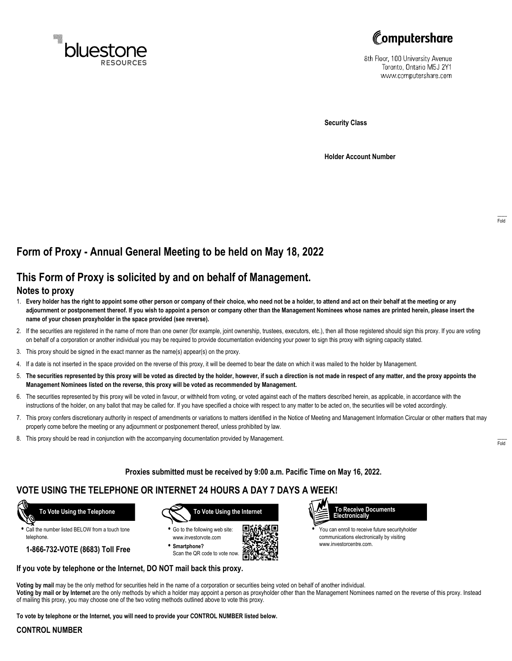



8th Floor, 100 University Avenue Toronto, Ontario M5J 2Y1 www.computershare.com

**Security Class**

**Holder Account Number**

# **Form of Proxy - Annual General Meeting to be held on May 18, 2022**

## **This Form of Proxy is solicited by and on behalf of Management.**

### **Notes to proxy**

- 1. **Every holder has the right to appoint some other person or company of their choice, who need not be a holder, to attend and act on their behalf at the meeting or any adjournment or postponement thereof. If you wish to appoint a person or company other than the Management Nominees whose names are printed herein, please insert the name of your chosen proxyholder in the space provided (see reverse).**
- 2. If the securities are registered in the name of more than one owner (for example, joint ownership, trustees, executors, etc.), then all those registered should sign this proxy. If you are voting on behalf of a corporation or another individual you may be required to provide documentation evidencing your power to sign this proxy with signing capacity stated.
- 3. This proxy should be signed in the exact manner as the name(s) appear(s) on the proxy.
- 4. If a date is not inserted in the space provided on the reverse of this proxy, it will be deemed to bear the date on which it was mailed to the holder by Management.
- 5. **The securities represented by this proxy will be voted as directed by the holder, however, if such a direction is not made in respect of any matter, and the proxy appoints the Management Nominees listed on the reverse, this proxy will be voted as recommended by Management.**
- 6. The securities represented by this proxy will be voted in favour, or withheld from voting, or voted against each of the matters described herein, as applicable, in accordance with the instructions of the holder, on any ballot that may be called for. If you have specified a choice with respect to any matter to be acted on, the securities will be voted accordingly.
- 7. This proxy confers discretionary authority in respect of amendments or variations to matters identified in the Notice of Meeting and Management Information Circular or other matters that may properly come before the meeting or any adjournment or postponement thereof, unless prohibited by law.
- 8. This proxy should be read in conjunction with the accompanying documentation provided by Management.

**Proxies submitted must be received by 9:00 a.m. Pacific Time on May 16, 2022.**

г

### **VOTE USING THE TELEPHONE OR INTERNET 24 HOURS A DAY 7 DAYS A WEEK!**

 **To Vote Using the Telephone**

**•** Call the number listed BELOW from a touch tone telephone.

**1-866-732-VOTE (8683) Toll Free**



**•** Go to the following web site: www.investorvote.com **• Smartphone?**

Scan the QR code to vote now.



www.investorcentre.com.

**Voting by mail** may be the only method for securities held in the name of a corporation or securities being voted on behalf of another individual. **Voting by mail or by Internet** are the only methods by which a holder may appoint a person as proxyholder other than the Management Nominees named on the reverse of this proxy. Instead of mailing this proxy, you may choose one of the two voting methods outlined above to vote this proxy.

**To vote by telephone or the Internet, you will need to provide your CONTROL NUMBER listed below.**

**If you vote by telephone or the Internet, DO NOT mail back this proxy.**

#### **CONTROL NUMBER**